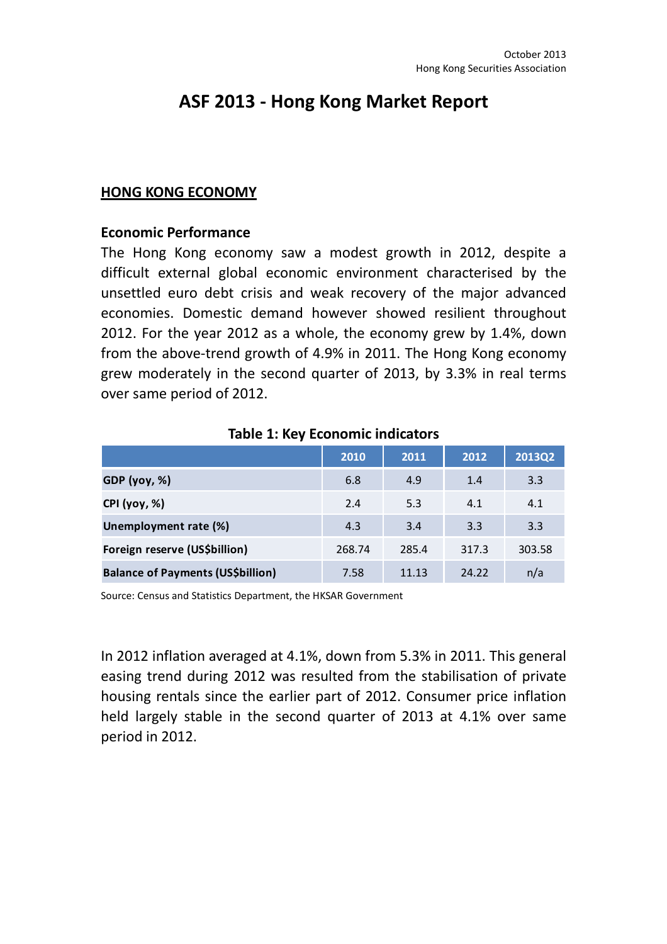# ASF 2013 - Hong Kong Market Report

#### HONG KONG ECONOMY

#### Economic Performance

The Hong Kong economy saw a modest growth in 2012, despite a difficult external global economic environment characterised by the unsettled euro debt crisis and weak recovery of the major advanced economies. Domestic demand however showed resilient throughout 2012. For the year 2012 as a whole, the economy grew by 1.4%, down from the above-trend growth of 4.9% in 2011. The Hong Kong economy grew moderately in the second quarter of 2013, by 3.3% in real terms over same period of 2012.

|                                          | 2010   | 2011  | 2012  | 2013Q2 |
|------------------------------------------|--------|-------|-------|--------|
| GDP (yoy, %)                             | 6.8    | 4.9   | 1.4   | 3.3    |
| <b>CPI</b> (yoy, %)                      | 2.4    | 5.3   | 4.1   | 4.1    |
| Unemployment rate (%)                    | 4.3    | 3.4   | 3.3   | 3.3    |
| Foreign reserve (US\$billion)            | 268.74 | 285.4 | 317.3 | 303.58 |
| <b>Balance of Payments (US\$billion)</b> | 7.58   | 11.13 | 24.22 | n/a    |

#### Table 1: Key Economic indicators

Source: Census and Statistics Department, the HKSAR Government

In 2012 inflation averaged at 4.1%, down from 5.3% in 2011. This general easing trend during 2012 was resulted from the stabilisation of private housing rentals since the earlier part of 2012. Consumer price inflation held largely stable in the second quarter of 2013 at 4.1% over same period in 2012.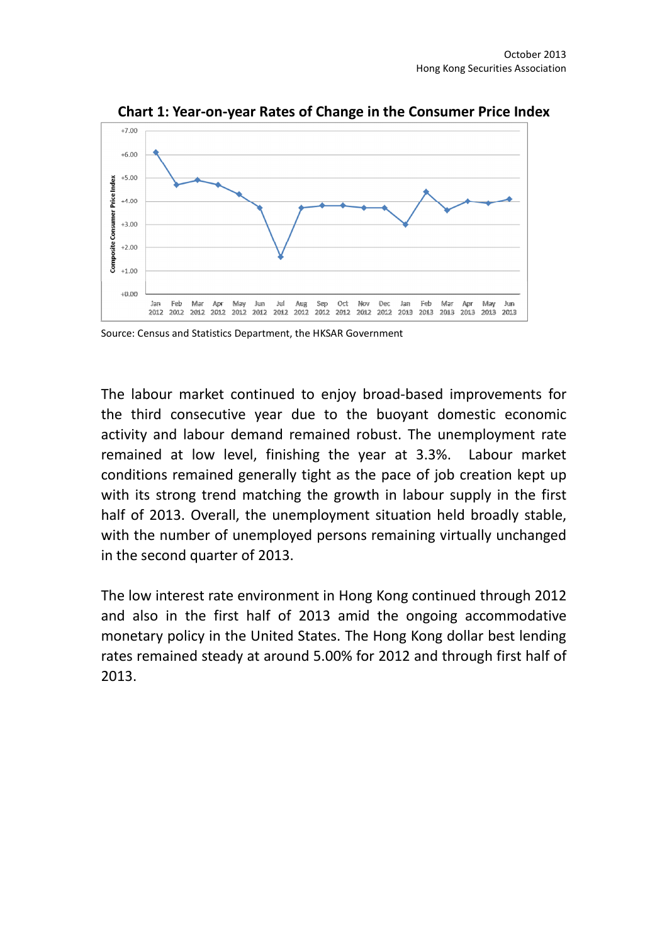

Chart 1: Year-on-year Rates of Change in the Consumer Price Index

The labour market continued to enjoy broad-based improvements for the third consecutive year due to the buoyant domestic economic activity and labour demand remained robust. The unemployment rate remained at low level, finishing the year at 3.3%. Labour market conditions remained generally tight as the pace of job creation kept up with its strong trend matching the growth in labour supply in the first half of 2013. Overall, the unemployment situation held broadly stable, with the number of unemployed persons remaining virtually unchanged in the second quarter of 2013.

The low interest rate environment in Hong Kong continued through 2012 and also in the first half of 2013 amid the ongoing accommodative monetary policy in the United States. The Hong Kong dollar best lending rates remained steady at around 5.00% for 2012 and through first half of 2013.

Source: Census and Statistics Department, the HKSAR Government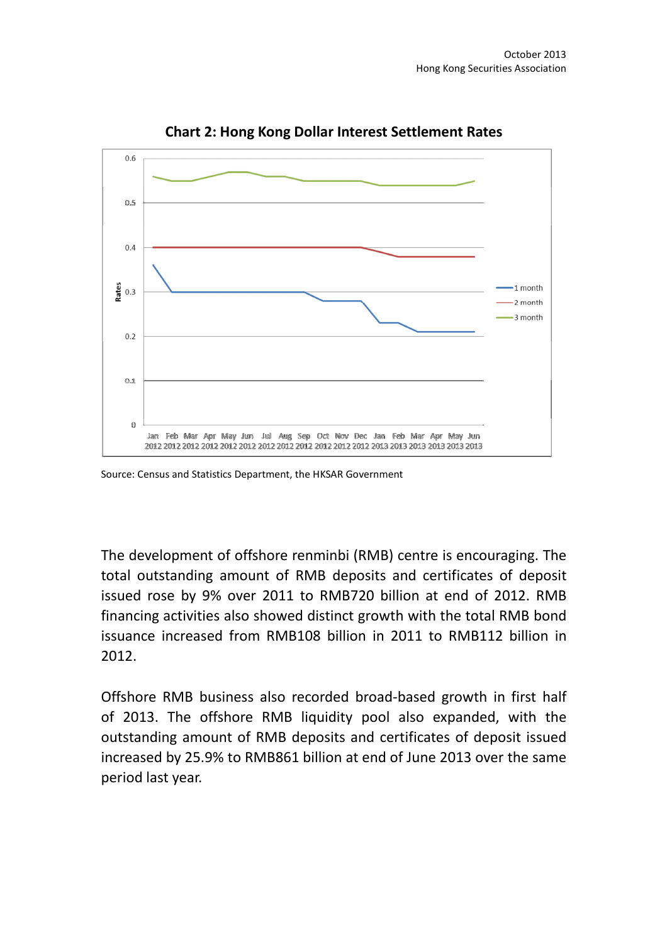

Chart 2: Hong Kong Dollar Interest Settlement Rates

Source: Census and Statistics Department, the HKSAR Government

The development of offshore renminbi (RMB) centre is encouraging. The total outstanding amount of RMB deposits and certificates of deposit issued rose by 9% over 2011 to RMB720 billion at end of 2012. RMB financing activities also showed distinct growth with the total RMB bond issuance increased from RMB108 billion in 2011 to RMB112 billion in 2012.

Offshore RMB business also recorded broad-based growth in first half of 2013. The offshore RMB liquidity pool also expanded, with the outstanding amount of RMB deposits and certificates of deposit issued increased by 25.9% to RMB861 billion at end of June 2013 over the same period last year.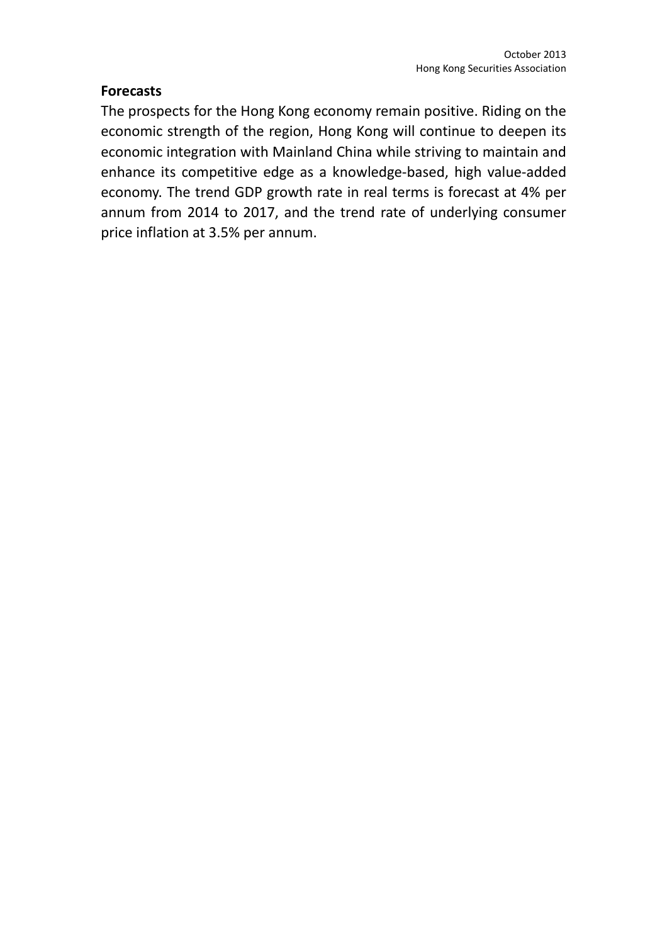## **Forecasts**

The prospects for the Hong Kong economy remain positive. Riding on the economic strength of the region, Hong Kong will continue to deepen its economic integration with Mainland China while striving to maintain and enhance its competitive edge as a knowledge-based, high value-added economy. The trend GDP growth rate in real terms is forecast at 4% per annum from 2014 to 2017, and the trend rate of underlying consumer price inflation at 3.5% per annum.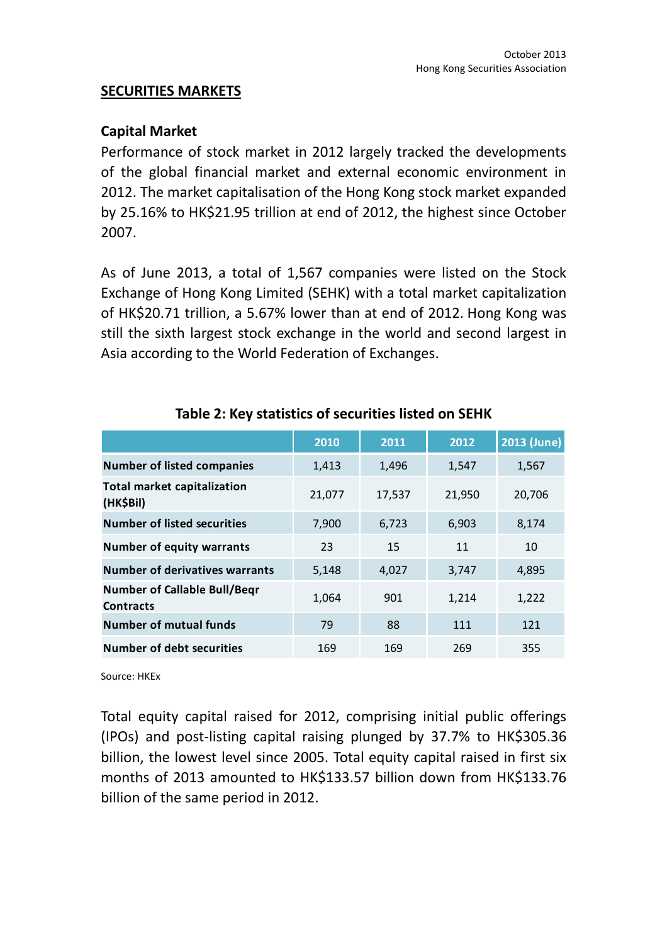#### SECURITIES MARKETS

#### Capital Market

Performance of stock market in 2012 largely tracked the developments of the global financial market and external economic environment in 2012. The market capitalisation of the Hong Kong stock market expanded by 25.16% to HK\$21.95 trillion at end of 2012, the highest since October 2007.

As of June 2013, a total of 1,567 companies were listed on the Stock Exchange of Hong Kong Limited (SEHK) with a total market capitalization of HK\$20.71 trillion, a 5.67% lower than at end of 2012. Hong Kong was still the sixth largest stock exchange in the world and second largest in Asia according to the World Federation of Exchanges.

|                                                         | 2010   | 2011   | 2012   | 2013 (June) |
|---------------------------------------------------------|--------|--------|--------|-------------|
| <b>Number of listed companies</b>                       | 1,413  | 1,496  | 1,547  | 1,567       |
| <b>Total market capitalization</b><br>(HK\$Bil)         | 21,077 | 17,537 | 21,950 | 20,706      |
| <b>Number of listed securities</b>                      | 7,900  | 6,723  | 6,903  | 8,174       |
| <b>Number of equity warrants</b>                        | 23     | 15     | 11     | 10          |
| <b>Number of derivatives warrants</b>                   | 5,148  | 4,027  | 3,747  | 4,895       |
| <b>Number of Callable Bull/Begr</b><br><b>Contracts</b> | 1,064  | 901    | 1,214  | 1,222       |
| <b>Number of mutual funds</b>                           | 79     | 88     | 111    | 121         |
| Number of debt securities                               | 169    | 169    | 269    | 355         |

### Table 2: Key statistics of securities listed on SEHK

Source: HKEx

Total equity capital raised for 2012, comprising initial public offerings (IPOs) and post-listing capital raising plunged by 37.7% to HK\$305.36 billion, the lowest level since 2005. Total equity capital raised in first six months of 2013 amounted to HK\$133.57 billion down from HK\$133.76 billion of the same period in 2012.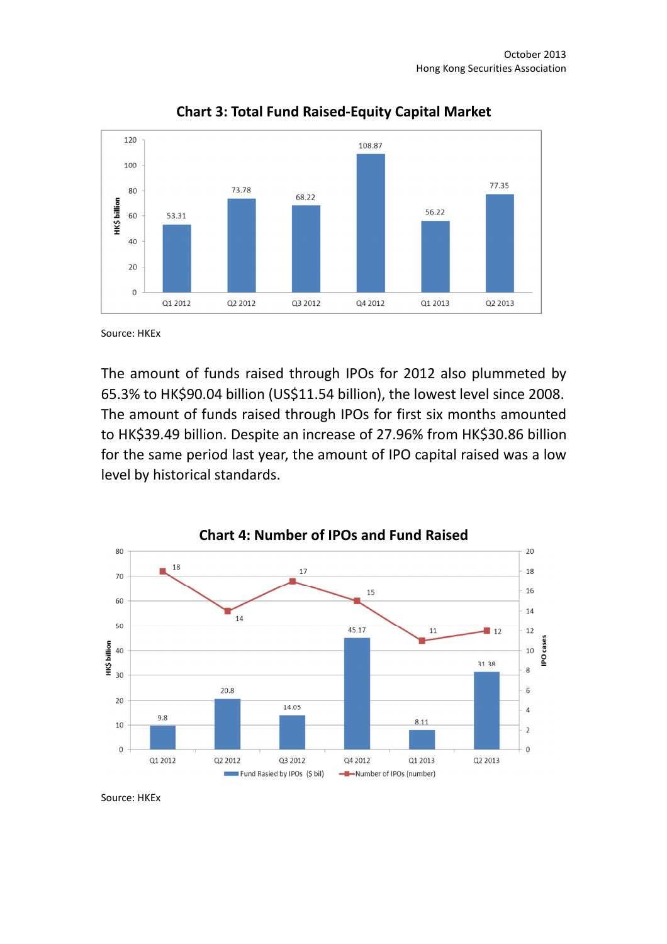

Chart 3: Total Fund Raised-Equity Capital Market

Source: HKEx

The amount of funds raised through IPOs for 2012 also plummeted by 65.3% to HK\$90.04 billion (US\$11.54 billion), the lowest level since 2008. The amount of funds raised through IPOs for first six months amounted to HK\$39.49 billion. Despite an increase of 27.96% from HK\$30.86 billion for the same period last year, the amount of IPO capital raised was a low level by historical standards.



Source: HKEx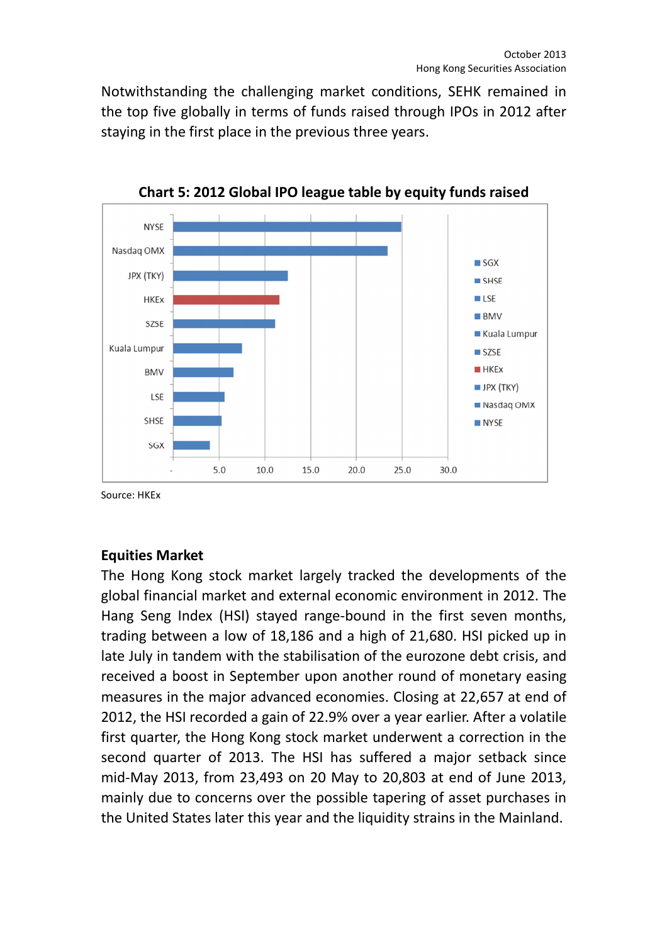Notwithstanding the challenging market conditions, SEHK remained in the top five globally in terms of funds raised through IPOs in 2012 after staying in the first place in the previous three years.



Chart 5: 2012 Global IPO league table by equity funds raised

Source: HKEx

## Equities Market

The Hong Kong stock market largely tracked the developments of the global financial market and external economic environment in 2012. The Hang Seng Index (HSI) stayed range-bound in the first seven months, trading between a low of 18,186 and a high of 21,680. HSI picked up in late July in tandem with the stabilisation of the eurozone debt crisis, and received a boost in September upon another round of monetary easing measures in the major advanced economies. Closing at 22,657 at end of 2012, the HSI recorded a gain of 22.9% over a year earlier. After a volatile first quarter, the Hong Kong stock market underwent a correction in the second quarter of 2013. The HSI has suffered a major setback since mid-May 2013, from 23,493 on 20 May to 20,803 at end of June 2013, mainly due to concerns over the possible tapering of asset purchases in the United States later this year and the liquidity strains in the Mainland.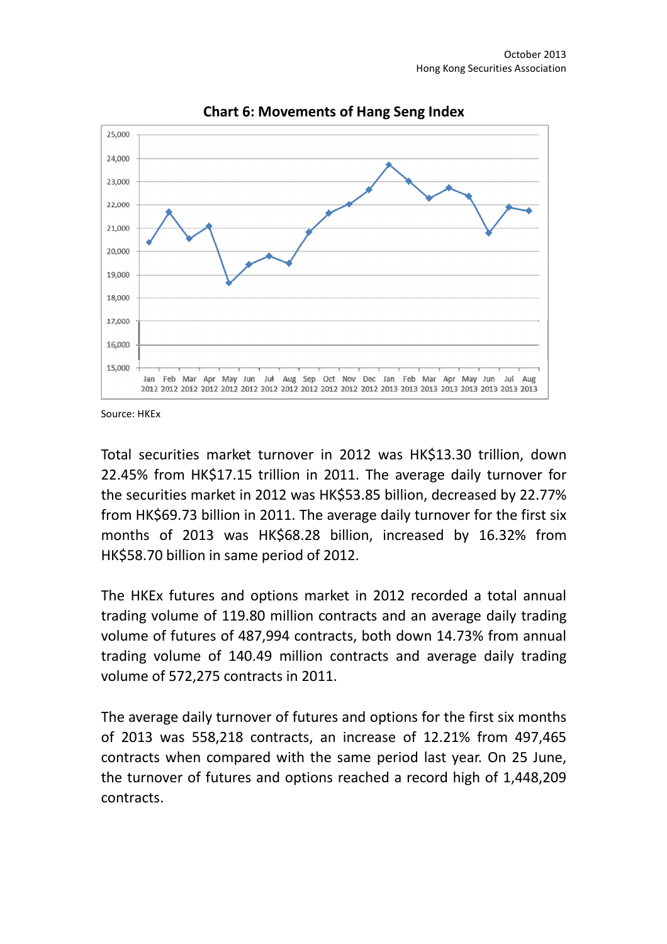

Chart 6: Movements of Hang Seng Index

Source: HKEx

Total securities market turnover in 2012 was HK\$13.30 trillion, down 22.45% from HK\$17.15 trillion in 2011. The average daily turnover for the securities market in 2012 was HK\$53.85 billion, decreased by 22.77% from HK\$69.73 billion in 2011. The average daily turnover for the first six months of 2013 was HK\$68.28 billion, increased by 16.32% from HK\$58.70 billion in same period of 2012.

The HKEx futures and options market in 2012 recorded a total annual trading volume of 119.80 million contracts and an average daily trading volume of futures of 487,994 contracts, both down 14.73% from annual trading volume of 140.49 million contracts and average daily trading volume of 572,275 contracts in 2011.

The average daily turnover of futures and options for the first six months of 2013 was 558,218 contracts, an increase of 12.21% from 497,465 contracts when compared with the same period last year. On 25 June, the turnover of futures and options reached a record high of 1,448,209 contracts.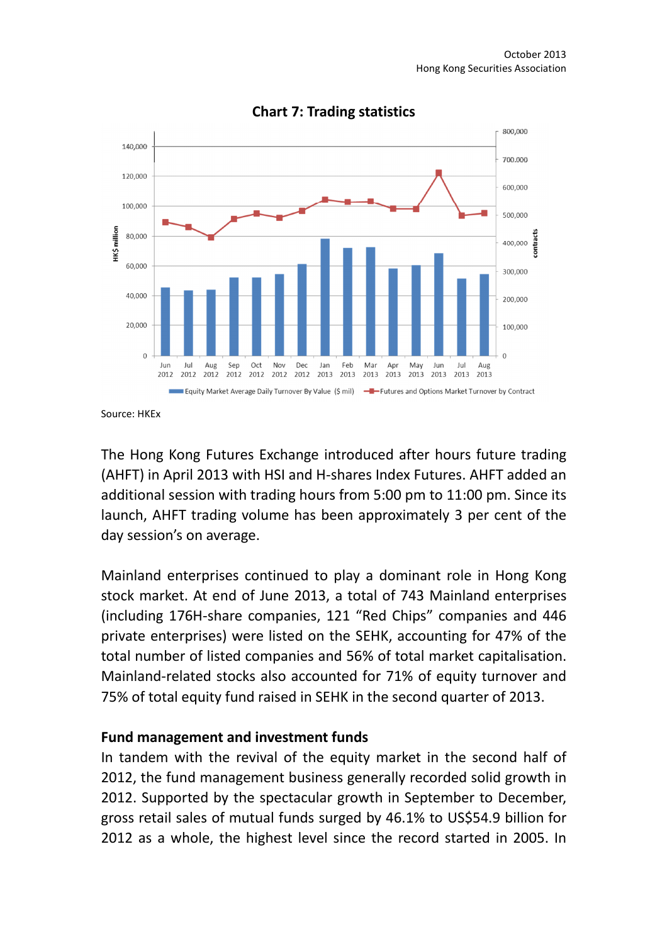

Chart 7: Trading statistics

Source: HKEx

The Hong Kong Futures Exchange introduced after hours future trading (AHFT) in April 2013 with HSI and H-shares Index Futures. AHFT added an additional session with trading hours from 5:00 pm to 11:00 pm. Since its launch, AHFT trading volume has been approximately 3 per cent of the day session's on average.

Mainland enterprises continued to play a dominant role in Hong Kong stock market. At end of June 2013, a total of 743 Mainland enterprises (including 176H-share companies, 121 "Red Chips" companies and 446 private enterprises) were listed on the SEHK, accounting for 47% of the total number of listed companies and 56% of total market capitalisation. Mainland-related stocks also accounted for 71% of equity turnover and 75% of total equity fund raised in SEHK in the second quarter of 2013.

#### Fund management and investment funds

In tandem with the revival of the equity market in the second half of 2012, the fund management business generally recorded solid growth in 2012. Supported by the spectacular growth in September to December, gross retail sales of mutual funds surged by 46.1% to US\$54.9 billion for 2012 as a whole, the highest level since the record started in 2005. In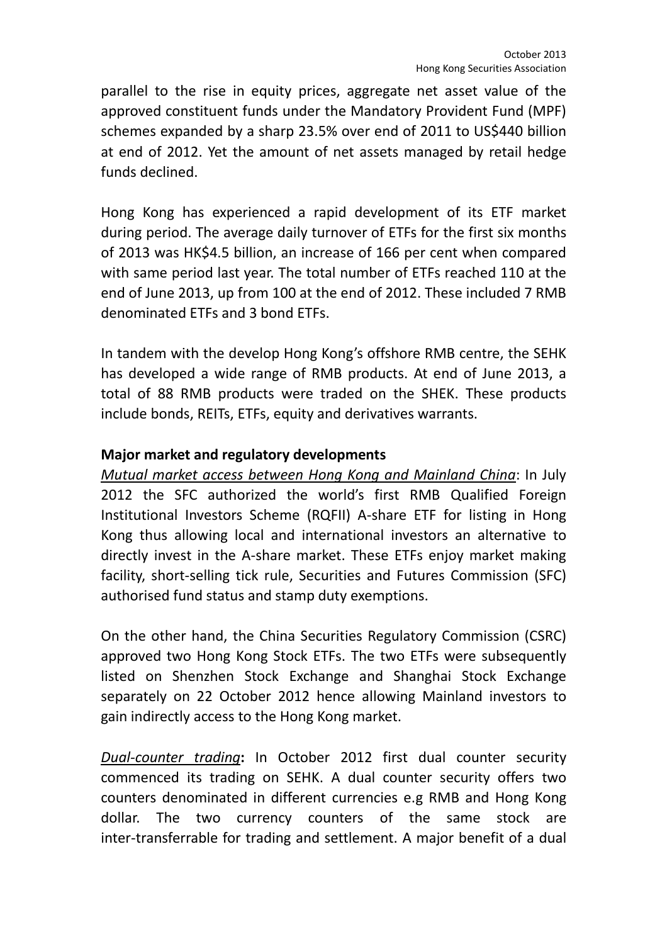parallel to the rise in equity prices, aggregate net asset value of the approved constituent funds under the Mandatory Provident Fund (MPF) schemes expanded by a sharp 23.5% over end of 2011 to US\$440 billion at end of 2012. Yet the amount of net assets managed by retail hedge funds declined.

Hong Kong has experienced a rapid development of its ETF market during period. The average daily turnover of ETFs for the first six months of 2013 was HK\$4.5 billion, an increase of 166 per cent when compared with same period last year. The total number of ETFs reached 110 at the end of June 2013, up from 100 at the end of 2012. These included 7 RMB denominated ETFs and 3 bond ETFs.

In tandem with the develop Hong Kong's offshore RMB centre, the SEHK has developed a wide range of RMB products. At end of June 2013, a total of 88 RMB products were traded on the SHEK. These products include bonds, REITs, ETFs, equity and derivatives warrants.

### Major market and regulatory developments

Mutual market access between Hong Kong and Mainland China: In July 2012 the SFC authorized the world's first RMB Qualified Foreign Institutional Investors Scheme (RQFII) A-share ETF for listing in Hong Kong thus allowing local and international investors an alternative to directly invest in the A-share market. These ETFs enjoy market making facility, short-selling tick rule, Securities and Futures Commission (SFC) authorised fund status and stamp duty exemptions.

On the other hand, the China Securities Regulatory Commission (CSRC) approved two Hong Kong Stock ETFs. The two ETFs were subsequently listed on Shenzhen Stock Exchange and Shanghai Stock Exchange separately on 22 October 2012 hence allowing Mainland investors to gain indirectly access to the Hong Kong market.

Dual-counter trading: In October 2012 first dual counter security commenced its trading on SEHK. A dual counter security offers two counters denominated in different currencies e.g RMB and Hong Kong dollar. The two currency counters of the same stock are inter-transferrable for trading and settlement. A major benefit of a dual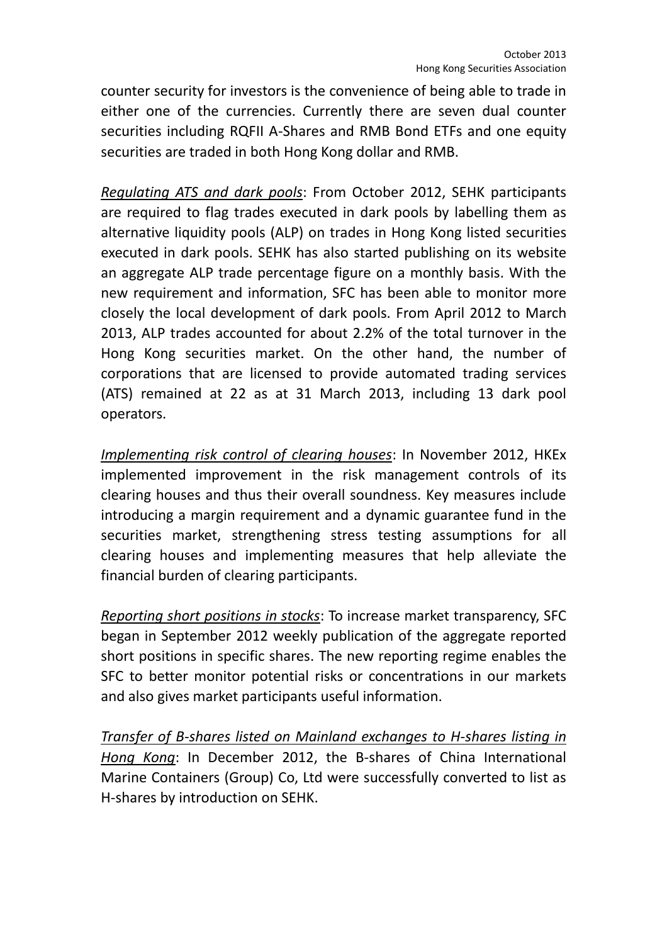counter security for investors is the convenience of being able to trade in either one of the currencies. Currently there are seven dual counter securities including RQFII A-Shares and RMB Bond ETFs and one equity securities are traded in both Hong Kong dollar and RMB.

Regulating ATS and dark pools: From October 2012, SEHK participants are required to flag trades executed in dark pools by labelling them as alternative liquidity pools (ALP) on trades in Hong Kong listed securities executed in dark pools. SEHK has also started publishing on its website an aggregate ALP trade percentage figure on a monthly basis. With the new requirement and information, SFC has been able to monitor more closely the local development of dark pools. From April 2012 to March 2013, ALP trades accounted for about 2.2% of the total turnover in the Hong Kong securities market. On the other hand, the number of corporations that are licensed to provide automated trading services (ATS) remained at 22 as at 31 March 2013, including 13 dark pool operators.

Implementing risk control of clearing houses: In November 2012, HKEx implemented improvement in the risk management controls of its clearing houses and thus their overall soundness. Key measures include introducing a margin requirement and a dynamic guarantee fund in the securities market, strengthening stress testing assumptions for all clearing houses and implementing measures that help alleviate the financial burden of clearing participants.

Reporting short positions in stocks: To increase market transparency, SFC began in September 2012 weekly publication of the aggregate reported short positions in specific shares. The new reporting regime enables the SFC to better monitor potential risks or concentrations in our markets and also gives market participants useful information.

Transfer of B-shares listed on Mainland exchanges to H-shares listing in Hong Kong: In December 2012, the B-shares of China International Marine Containers (Group) Co, Ltd were successfully converted to list as H-shares by introduction on SEHK.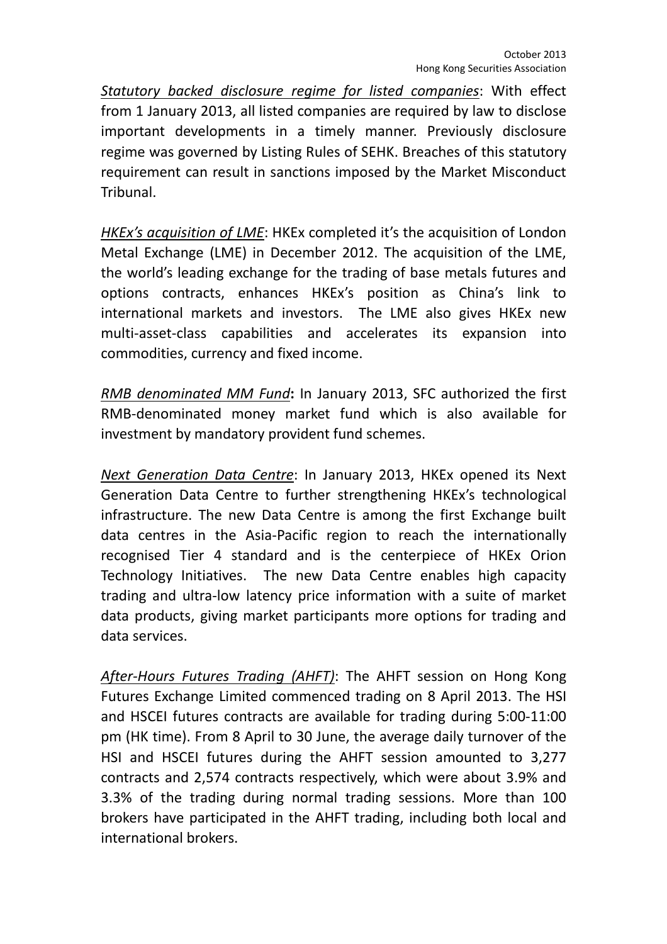Statutory backed disclosure regime for listed companies: With effect from 1 January 2013, all listed companies are required by law to disclose important developments in a timely manner. Previously disclosure regime was governed by Listing Rules of SEHK. Breaches of this statutory requirement can result in sanctions imposed by the Market Misconduct Tribunal.

HKEx's acquisition of LME: HKEx completed it's the acquisition of London Metal Exchange (LME) in December 2012. The acquisition of the LME, the world's leading exchange for the trading of base metals futures and options contracts, enhances HKEx's position as China's link to international markets and investors. The LME also gives HKEx new multi-asset-class capabilities and accelerates its expansion into commodities, currency and fixed income.

RMB denominated MM Fund: In January 2013, SFC authorized the first RMB-denominated money market fund which is also available for investment by mandatory provident fund schemes.

Next Generation Data Centre: In January 2013, HKEx opened its Next Generation Data Centre to further strengthening HKEx's technological infrastructure. The new Data Centre is among the first Exchange built data centres in the Asia-Pacific region to reach the internationally recognised Tier 4 standard and is the centerpiece of HKEx Orion Technology Initiatives. The new Data Centre enables high capacity trading and ultra-low latency price information with a suite of market data products, giving market participants more options for trading and data services.

After-Hours Futures Trading (AHFT): The AHFT session on Hong Kong Futures Exchange Limited commenced trading on 8 April 2013. The HSI and HSCEI futures contracts are available for trading during 5:00-11:00 pm (HK time). From 8 April to 30 June, the average daily turnover of the HSI and HSCEI futures during the AHFT session amounted to 3,277 contracts and 2,574 contracts respectively, which were about 3.9% and 3.3% of the trading during normal trading sessions. More than 100 brokers have participated in the AHFT trading, including both local and international brokers.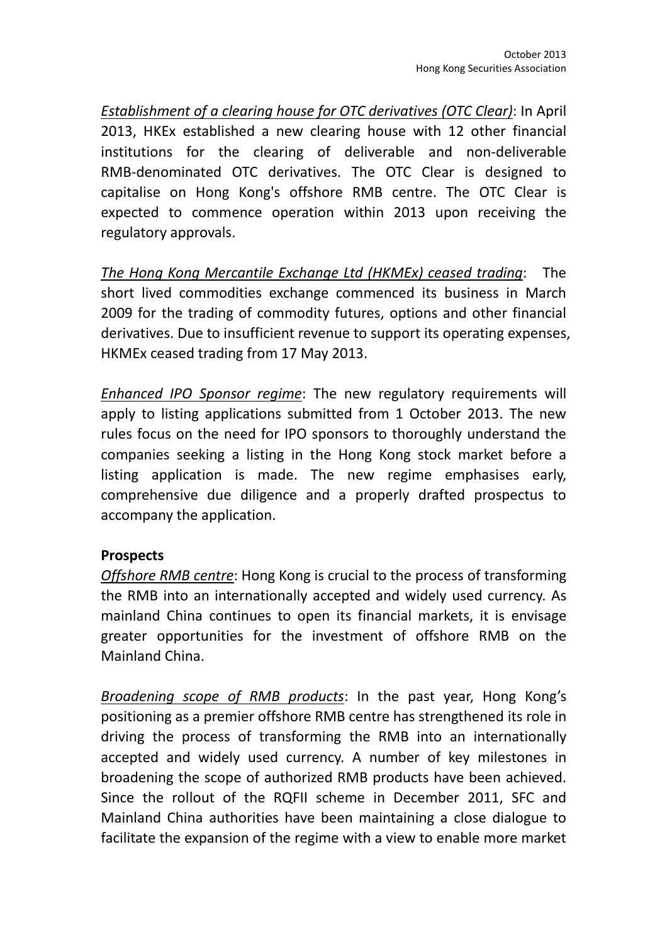Establishment of a clearing house for OTC derivatives (OTC Clear): In April 2013, HKEx established a new clearing house with 12 other financial institutions for the clearing of deliverable and non-deliverable RMB-denominated OTC derivatives. The OTC Clear is designed to capitalise on Hong Kong's offshore RMB centre. The OTC Clear is expected to commence operation within 2013 upon receiving the regulatory approvals.

The Hong Kong Mercantile Exchange Ltd (HKMEx) ceased trading: The short lived commodities exchange commenced its business in March 2009 for the trading of commodity futures, options and other financial derivatives. Due to insufficient revenue to support its operating expenses, HKMEx ceased trading from 17 May 2013.

Enhanced IPO Sponsor regime: The new regulatory requirements will apply to listing applications submitted from 1 October 2013. The new rules focus on the need for IPO sponsors to thoroughly understand the companies seeking a listing in the Hong Kong stock market before a listing application is made. The new regime emphasises early, comprehensive due diligence and a properly drafted prospectus to accompany the application.

## Prospects

Offshore RMB centre: Hong Kong is crucial to the process of transforming the RMB into an internationally accepted and widely used currency. As mainland China continues to open its financial markets, it is envisage greater opportunities for the investment of offshore RMB on the Mainland China.

Broadening scope of RMB products: In the past year, Hong Kong's positioning as a premier offshore RMB centre has strengthened its role in driving the process of transforming the RMB into an internationally accepted and widely used currency. A number of key milestones in broadening the scope of authorized RMB products have been achieved. Since the rollout of the RQFII scheme in December 2011, SFC and Mainland China authorities have been maintaining a close dialogue to facilitate the expansion of the regime with a view to enable more market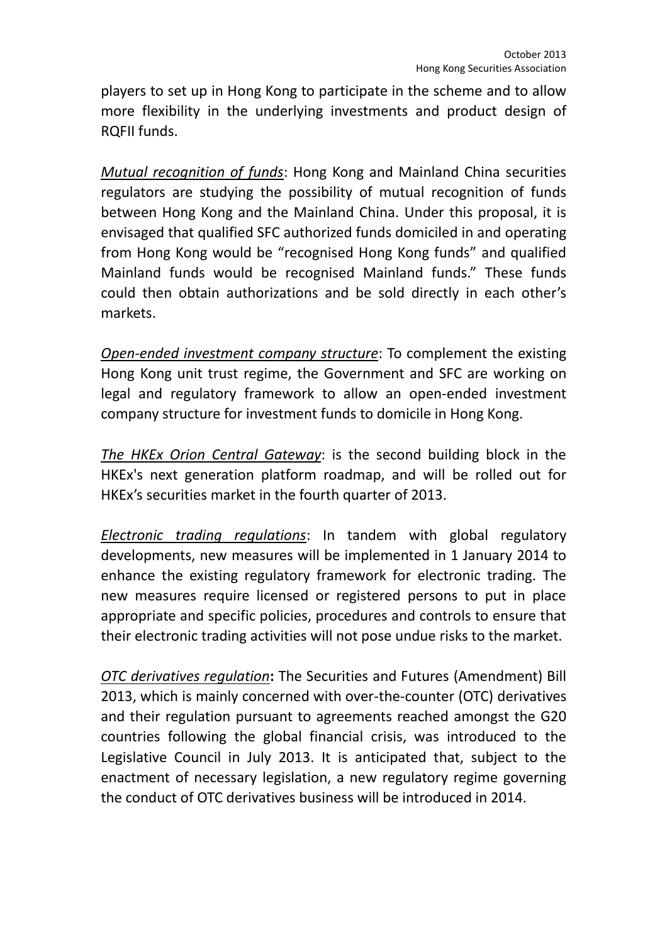players to set up in Hong Kong to participate in the scheme and to allow more flexibility in the underlying investments and product design of RQFII funds.

Mutual recognition of funds: Hong Kong and Mainland China securities regulators are studying the possibility of mutual recognition of funds between Hong Kong and the Mainland China. Under this proposal, it is envisaged that qualified SFC authorized funds domiciled in and operating from Hong Kong would be "recognised Hong Kong funds" and qualified Mainland funds would be recognised Mainland funds." These funds could then obtain authorizations and be sold directly in each other's markets.

Open-ended investment company structure: To complement the existing Hong Kong unit trust regime, the Government and SFC are working on legal and regulatory framework to allow an open-ended investment company structure for investment funds to domicile in Hong Kong.

The HKEx Orion Central Gateway: is the second building block in the HKEx's next generation platform roadmap, and will be rolled out for HKEx's securities market in the fourth quarter of 2013.

Electronic trading regulations: In tandem with global regulatory developments, new measures will be implemented in 1 January 2014 to enhance the existing regulatory framework for electronic trading. The new measures require licensed or registered persons to put in place appropriate and specific policies, procedures and controls to ensure that their electronic trading activities will not pose undue risks to the market.

**OTC derivatives regulation:** The Securities and Futures (Amendment) Bill 2013, which is mainly concerned with over-the-counter (OTC) derivatives and their regulation pursuant to agreements reached amongst the G20 countries following the global financial crisis, was introduced to the Legislative Council in July 2013. It is anticipated that, subject to the enactment of necessary legislation, a new regulatory regime governing the conduct of OTC derivatives business will be introduced in 2014.